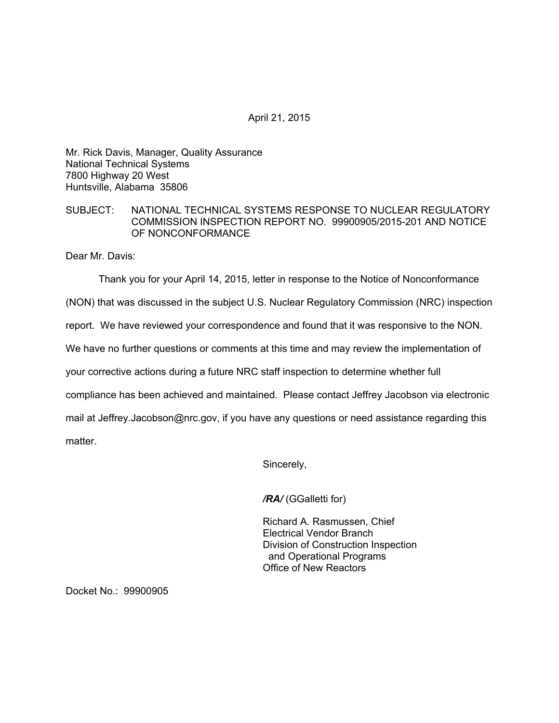April 21, 2015

Mr. Rick Davis, Manager, Quality Assurance National Technical Systems 7800 Highway 20 West Huntsville, Alabama 35806

## SUBJECT: NATIONAL TECHNICAL SYSTEMS RESPONSE TO NUCLEAR REGULATORY COMMISSION INSPECTION REPORT NO. 99900905/2015-201 AND NOTICE OF NONCONFORMANCE

Dear Mr. Davis:

Thank you for your April 14, 2015, letter in response to the Notice of Nonconformance

(NON) that was discussed in the subject U.S. Nuclear Regulatory Commission (NRC) inspection

report. We have reviewed your correspondence and found that it was responsive to the NON.

We have no further questions or comments at this time and may review the implementation of

your corrective actions during a future NRC staff inspection to determine whether full

compliance has been achieved and maintained. Please contact Jeffrey Jacobson via electronic

mail at Jeffrey.Jacobson@nrc.gov, if you have any questions or need assistance regarding this matter.

Sincerely,

*/RA/* (GGalletti for)

Richard A. Rasmussen, Chief Electrical Vendor Branch Division of Construction Inspection and Operational Programs Office of New Reactors

Docket No.: 99900905